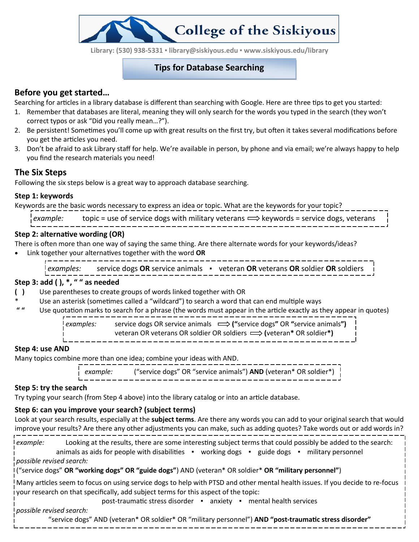**Library: (530) 938-5331 ▪ library@siskiyous.edu ▪ www.siskiyous.edu/library**

**College of the Siskiyous** 

### **Tips for Database Searching**

## **Before you get started…**

Searching for articles in a library database is different than searching with Google. Here are three tips to get you started:

- 1. Remember that databases are literal, meaning they will only search for the words you typed in the search (they won't correct typos or ask "Did you really mean…?").
- 2. Be persistent! Sometimes you'll come up with great results on the first try, but often it takes several modifications before you get the articles you need.
- 3. Don't be afraid to ask Library staff for help. We're available in person, by phone and via email; we're always happy to help you find the research materials you need!

## **The Six Steps**

Following the six steps below is a great way to approach database searching.

### **Step 1: keywords**

Keywords are the basic words necessary to express an idea or topic. What are the keywords for your topic?

| example: | topic = use of service dogs with military veterans $\Longrightarrow$ keywords = service dogs, veterans |  |  |
|----------|--------------------------------------------------------------------------------------------------------|--|--|
|          |                                                                                                        |  |  |

### **Step 2: alternative wording (OR)**

There is often more than one way of saying the same thing. Are there alternate words for your keywords/ideas?

Link together your alternatives together with the word **OR**

*examples:* service dogs **OR** service animals ▪ veteran **OR** veterans **OR** soldier **OR** soldiers

#### **Step 3: add ( ), \*, " " as needed**

- **( )** Use parentheses to create groups of words linked together with OR
- Use an asterisk (sometimes called a "wildcard") to search a word that can end multiple ways
- **" "** Use quotation marks to search for a phrase (the words must appear in the article exactly as they appear in quotes)

*examples:* service dogs OR service animals **("**service dogs**"** OR **"**service animals**")**

veteran OR veterans OR soldier OR soldiers **(**veteran**\*** OR soldier**\*)**

### **Step 4: use AND**

Many topics combine more than one idea; combine your ideas with AND.

*example:* ("service dogs" OR "service animals") **AND** (veteran\* OR soldier\*)

# **Step 5: try the search**

Try typing your search (from Step 4 above) into the library catalog or into an article database.

## **Step 6: can you improve your search? (subject terms)**

Look at your search results, especially at the **subject terms**. Are there any words you can add to your original search that would improve your results? Are there any other adjustments you can make, such as adding quotes? Take words out or add words in?

*example:* Looking at the results, there are some interesting subject terms that could possibly be added to the search: animals as aids for people with disabilities • working dogs • guide dogs • military personnel *possible revised search:*

("service dogs" **OR "working dogs" OR "guide dogs"**) AND (veteran\* OR soldier\* **OR "military personnel"**)

Many articles seem to focus on using service dogs to help with PTSD and other mental health issues. If you decide to re-focus your research on that specifically, add subject terms for this aspect of the topic:

post-traumatic stress disorder ▪ anxiety ▪ mental health services

*possible revised search:*

"service dogs" AND (veteran\* OR soldier\* OR "military personnel") **AND "post-traumatic stress disorder"**